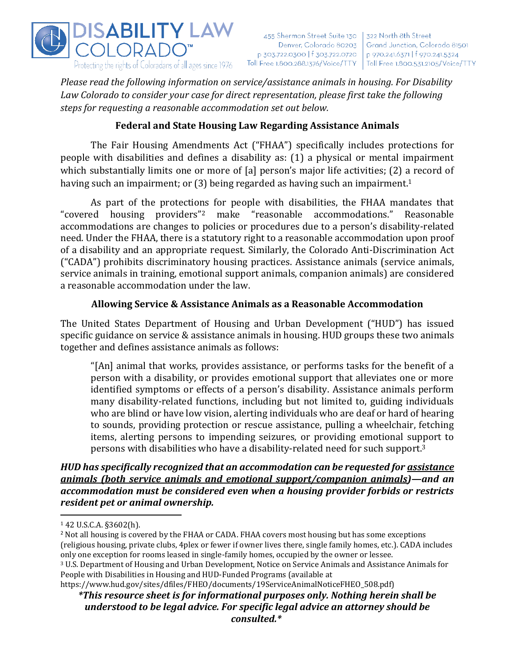

*Please read the following information on service/assistance animals in housing. For Disability Law Colorado to consider your case for direct representation, please first take the following steps for requesting a reasonable accommodation set out below.*

# **Federal and State Housing Law Regarding Assistance Animals**

The Fair Housing Amendments Act ("FHAA") specifically includes protections for people with disabilities and defines a disability as: (1) a physical or mental impairment which substantially limits one or more of [a] person's major life activities; (2) a record of having such an impairment; or (3) being regarded as having such an impairment.<sup>1</sup>

As part of the protections for people with disabilities, the FHAA mandates that "covered housing providers" "reasonable accommodations." Reasonable accommodations are changes to policies or procedures due to a person's disability-related need. Under the FHAA, there is a statutory right to a reasonable accommodation upon proof of a disability and an appropriate request. Similarly, the Colorado Anti-Discrimination Act ("CADA") prohibits discriminatory housing practices. Assistance animals (service animals, service animals in training, emotional support animals, companion animals) are considered a reasonable accommodation under the law.

#### **Allowing Service & Assistance Animals as a Reasonable Accommodation**

The United States Department of Housing and Urban Development ("HUD") has issued specific guidance on service & assistance animals in housing. HUD groups these two animals together and defines assistance animals as follows:

"[An] animal that works, provides assistance, or performs tasks for the benefit of a person with a disability, or provides emotional support that alleviates one or more identified symptoms or effects of a person's disability. Assistance animals perform many disability-related functions, including but not limited to, guiding individuals who are blind or have low vision, alerting individuals who are deaf or hard of hearing to sounds, providing protection or rescue assistance, pulling a wheelchair, fetching items, alerting persons to impending seizures, or providing emotional support to persons with disabilities who have a disability-related need for such support.<sup>3</sup>

## *HUD has specifically recognized that an accommodation can be requested for assistance animals (both service animals and emotional support/companion animals)—and an accommodation must be considered even when a housing provider forbids or restricts resident pet or animal ownership.*

<sup>1</sup> 42 U.S.C.A. §3602(h).

<sup>&</sup>lt;sup>2</sup> Not all housing is covered by the FHAA or CADA. FHAA covers most housing but has some exceptions (religious housing, private clubs, 4plex or fewer if owner lives there, single family homes, etc.). CADA includes only one exception for rooms leased in single-family homes, occupied by the owner or lessee.

<sup>3</sup> U.S. Department of Housing and Urban Development, Notice on Service Animals and Assistance Animals for People with Disabilities in Housing and HUD-Funded Programs (available at

https://www.hud.gov/sites/dfiles/FHEO/documents/19ServiceAnimalNoticeFHEO\_508.pdf)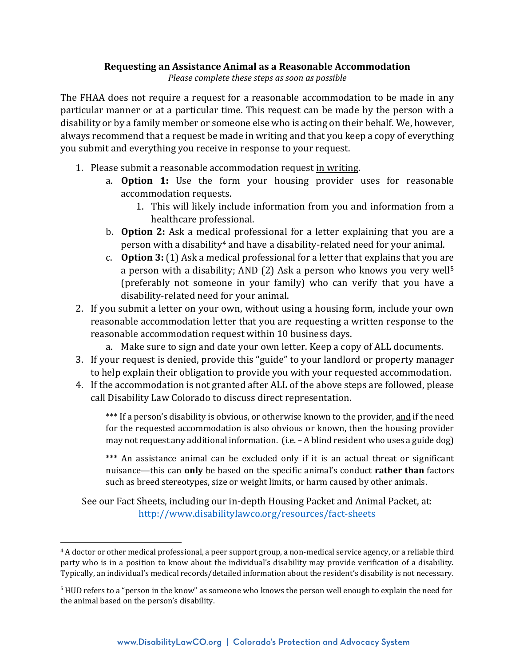#### **Requesting an Assistance Animal as a Reasonable Accommodation**

*Please complete these steps as soon as possible*

The FHAA does not require a request for a reasonable accommodation to be made in any particular manner or at a particular time. This request can be made by the person with a disability or by a family member or someone else who is acting on their behalf. We, however, always recommend that a request be made in writing and that you keep a copy of everything you submit and everything you receive in response to your request.

- 1. Please submit a reasonable accommodation request in writing.
	- a. **Option 1:** Use the form your housing provider uses for reasonable accommodation requests.
		- 1. This will likely include information from you and information from a healthcare professional.
	- b. **Option 2:** Ask a medical professional for a letter explaining that you are a person with a disability<sup>4</sup> and have a disability-related need for your animal.
	- c. **Option 3:** (1) Ask a medical professional for a letter that explains that you are a person with a disability; AND (2) Ask a person who knows you very well<sup>5</sup> (preferably not someone in your family) who can verify that you have a disability-related need for your animal.
- 2. If you submit a letter on your own, without using a housing form, include your own reasonable accommodation letter that you are requesting a written response to the reasonable accommodation request within 10 business days.
	- a. Make sure to sign and date your own letter. Keep a copy of ALL documents.
- 3. If your request is denied, provide this "guide" to your landlord or property manager to help explain their obligation to provide you with your requested accommodation.
- 4. If the accommodation is not granted after ALL of the above steps are followed, please call Disability Law Colorado to discuss direct representation.

\*\*\* If a person's disability is obvious, or otherwise known to the provider, and if the need for the requested accommodation is also obvious or known, then the housing provider may not request any additional information. (i.e. – A blind resident who uses a guide dog)

\*\*\* An assistance animal can be excluded only if it is an actual threat or significant nuisance—this can **only** be based on the specific animal's conduct **rather than** factors such as breed stereotypes, size or weight limits, or harm caused by other animals.

See our Fact Sheets, including our in-depth Housing Packet and Animal Packet, at: <http://www.disabilitylawco.org/resources/fact-sheets>

<sup>4</sup> A doctor or other medical professional, a peer support group, a non-medical service agency, or a reliable third party who is in a position to know about the individual's disability may provide verification of a disability. Typically, an individual's medical records/detailed information about the resident's disability is not necessary.

<sup>5</sup> HUD refers to a "person in the know" as someone who knows the person well enough to explain the need for the animal based on the person's disability.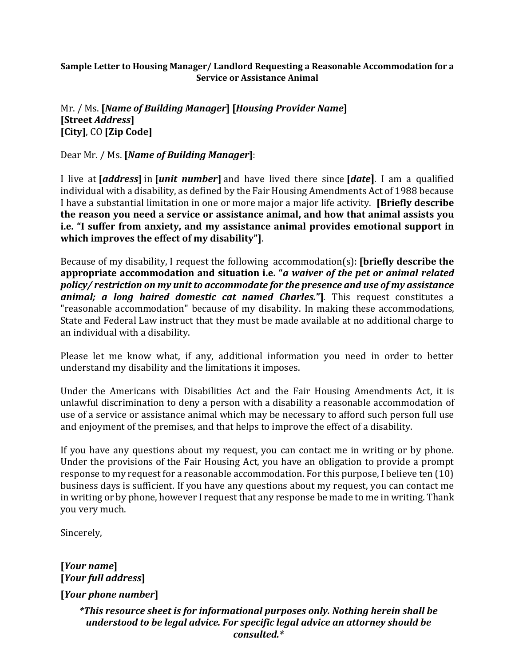## **Sample Letter to Housing Manager/ Landlord Requesting a Reasonable Accommodation for a Service or Assistance Animal**

## Mr. / Ms. **[***Name of Building Manager***] [***Housing Provider Name***] [Street** *Address***] [City]**, CO **[Zip Code]**

Dear Mr. / Ms. **[***Name of Building Manager***]**:

I live at **[***address***]** in **[***unit number***]** and have lived there since **[***date***]**. I am a qualified individual with a disability, as defined by the Fair Housing Amendments Act of 1988 because I have a substantial limitation in one or more major a major life activity. **[Briefly describe the reason you need a service or assistance animal, and how that animal assists you i.e. "I suffer from anxiety, and my assistance animal provides emotional support in which improves the effect of my disability"]**.

Because of my disability, I request the following accommodation(s): **[briefly describe the appropriate accommodation and situation i.e. "***a waiver of the pet or animal related policy/ restriction on my unit to accommodate for the presence and use of my assistance animal; a long haired domestic cat named Charles.***"]***.* This request constitutes a "reasonable accommodation" because of my disability. In making these accommodations, State and Federal Law instruct that they must be made available at no additional charge to an individual with a disability.

Please let me know what, if any, additional information you need in order to better understand my disability and the limitations it imposes.

Under the Americans with Disabilities Act and the Fair Housing Amendments Act, it is unlawful discrimination to deny a person with a disability a reasonable accommodation of use of a service or assistance animal which may be necessary to afford such person full use and enjoyment of the premises, and that helps to improve the effect of a disability.

If you have any questions about my request, you can contact me in writing or by phone. Under the provisions of the Fair Housing Act, you have an obligation to provide a prompt response to my request for a reasonable accommodation. For this purpose, I believe ten (10) business days is sufficient. If you have any questions about my request, you can contact me in writing or by phone, however I request that any response be made to me in writing. Thank you very much.

Sincerely,

**[***Your name***] [***Your full address***] [***Your phone number***]**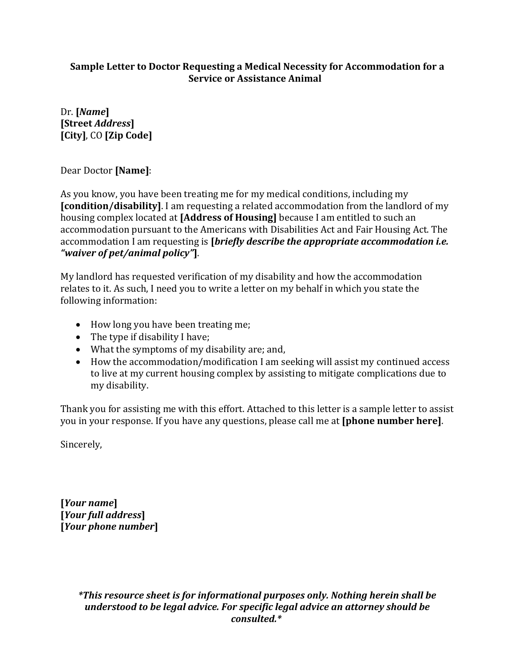## **Sample Letter to Doctor Requesting a Medical Necessity for Accommodation for a Service or Assistance Animal**

Dr. **[***Name***] [Street** *Address***] [City]**, CO **[Zip Code]**

Dear Doctor **[Name]**:

As you know, you have been treating me for my medical conditions, including my **[condition/disability]**. I am requesting a related accommodation from the landlord of my housing complex located at **[Address of Housing]** because I am entitled to such an accommodation pursuant to the Americans with Disabilities Act and Fair Housing Act. The accommodation I am requesting is **[***briefly describe the appropriate accommodation i.e. "waiver of pet/animal policy"***]**.

My landlord has requested verification of my disability and how the accommodation relates to it. As such, I need you to write a letter on my behalf in which you state the following information:

- How long you have been treating me;
- The type if disability I have;
- What the symptoms of my disability are; and,
- How the accommodation/modification I am seeking will assist my continued access to live at my current housing complex by assisting to mitigate complications due to my disability.

Thank you for assisting me with this effort. Attached to this letter is a sample letter to assist you in your response. If you have any questions, please call me at **[phone number here]**.

Sincerely,

**[***Your name***] [***Your full address***] [***Your phone number***]**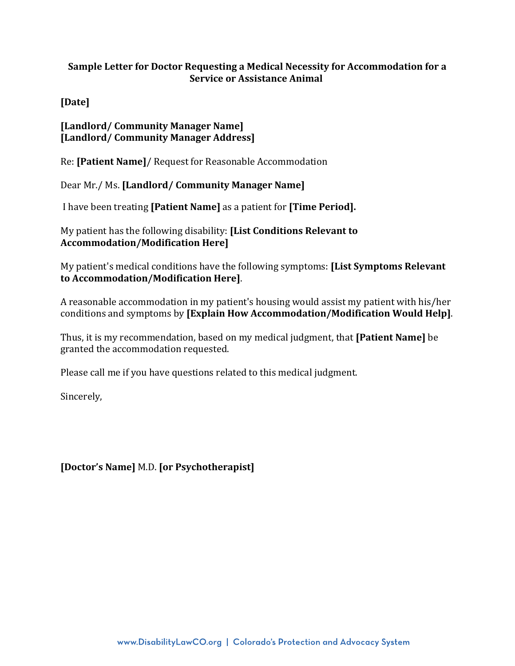## **Sample Letter for Doctor Requesting a Medical Necessity for Accommodation for a Service or Assistance Animal**

**[Date]**

## **[Landlord/ Community Manager Name] [Landlord/ Community Manager Address]**

Re: **[Patient Name]**/ Request for Reasonable Accommodation

Dear Mr./ Ms. **[Landlord/ Community Manager Name]**

I have been treating **[Patient Name]** as a patient for **[Time Period].**

My patient has the following disability: **[List Conditions Relevant to Accommodation/Modification Here]**

My patient's medical conditions have the following symptoms: **[List Symptoms Relevant to Accommodation/Modification Here]**.

A reasonable accommodation in my patient's housing would assist my patient with his/her conditions and symptoms by **[Explain How Accommodation/Modification Would Help]**.

Thus, it is my recommendation, based on my medical judgment, that **[Patient Name]** be granted the accommodation requested.

Please call me if you have questions related to this medical judgment.

Sincerely,

**[Doctor's Name]** M.D. **[or Psychotherapist]**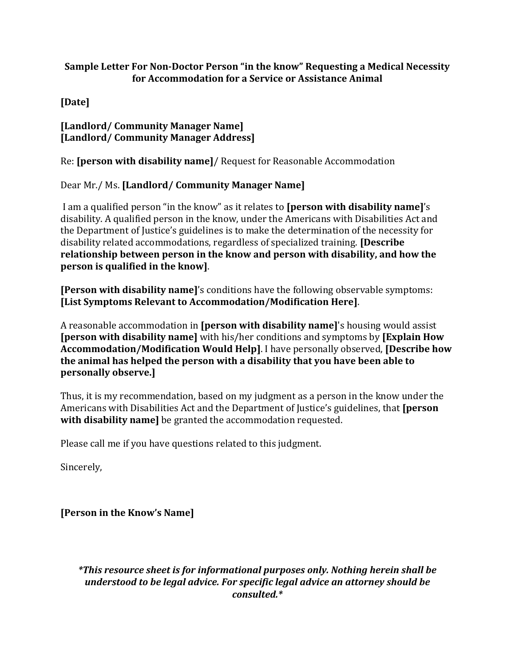## **Sample Letter For Non-Doctor Person "in the know" Requesting a Medical Necessity for Accommodation for a Service or Assistance Animal**

**[Date]** 

**[Landlord/ Community Manager Name] [Landlord/ Community Manager Address]** 

Re: **[person with disability name]**/ Request for Reasonable Accommodation

Dear Mr./ Ms. **[Landlord/ Community Manager Name]**

I am a qualified person "in the know" as it relates to **[person with disability name]**'s disability. A qualified person in the know, under the Americans with Disabilities Act and the Department of Justice's guidelines is to make the determination of the necessity for disability related accommodations, regardless of specialized training. **[Describe relationship between person in the know and person with disability, and how the person is qualified in the know]**.

**[Person with disability name]**'s conditions have the following observable symptoms: **[List Symptoms Relevant to Accommodation/Modification Here]**.

A reasonable accommodation in **[person with disability name]**'s housing would assist **[person with disability name]** with his/her conditions and symptoms by **[Explain How Accommodation/Modification Would Help]**. I have personally observed, **[Describe how the animal has helped the person with a disability that you have been able to personally observe.]** 

Thus, it is my recommendation, based on my judgment as a person in the know under the Americans with Disabilities Act and the Department of Justice's guidelines, that **[person with disability name]** be granted the accommodation requested.

Please call me if you have questions related to this judgment.

Sincerely,

**[Person in the Know's Name]**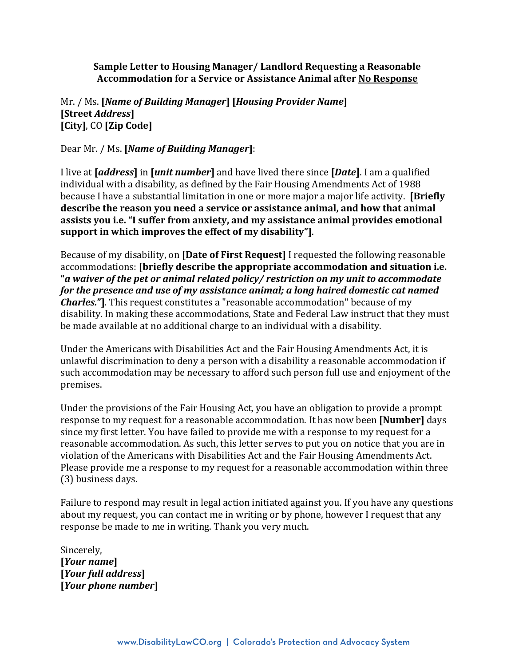**Sample Letter to Housing Manager/ Landlord Requesting a Reasonable Accommodation for a Service or Assistance Animal after No Response**

## Mr. / Ms. **[***Name of Building Manager***] [***Housing Provider Name***] [Street** *Address***] [City]**, CO **[Zip Code]**

Dear Mr. / Ms. **[***Name of Building Manager***]**:

I live at **[***address***]** in **[***unit number***]** and have lived there since **[***Date***]**. I am a qualified individual with a disability, as defined by the Fair Housing Amendments Act of 1988 because I have a substantial limitation in one or more major a major life activity. **[Briefly describe the reason you need a service or assistance animal, and how that animal assists you i.e. "I suffer from anxiety, and my assistance animal provides emotional support in which improves the effect of my disability"]**.

Because of my disability, on **[Date of First Request]** I requested the following reasonable accommodations: **[briefly describe the appropriate accommodation and situation i.e. "***a waiver of the pet or animal related policy/ restriction on my unit to accommodate for the presence and use of my assistance animal; a long haired domestic cat named Charles.***"]***.* This request constitutes a "reasonable accommodation" because of my disability. In making these accommodations, State and Federal Law instruct that they must be made available at no additional charge to an individual with a disability.

Under the Americans with Disabilities Act and the Fair Housing Amendments Act, it is unlawful discrimination to deny a person with a disability a reasonable accommodation if such accommodation may be necessary to afford such person full use and enjoyment of the premises.

Under the provisions of the Fair Housing Act, you have an obligation to provide a prompt response to my request for a reasonable accommodation. It has now been **[Number]** days since my first letter. You have failed to provide me with a response to my request for a reasonable accommodation. As such, this letter serves to put you on notice that you are in violation of the Americans with Disabilities Act and the Fair Housing Amendments Act. Please provide me a response to my request for a reasonable accommodation within three (3) business days.

Failure to respond may result in legal action initiated against you. If you have any questions about my request, you can contact me in writing or by phone, however I request that any response be made to me in writing. Thank you very much.

Sincerely, **[***Your name***] [***Your full address***] [***Your phone number***]**